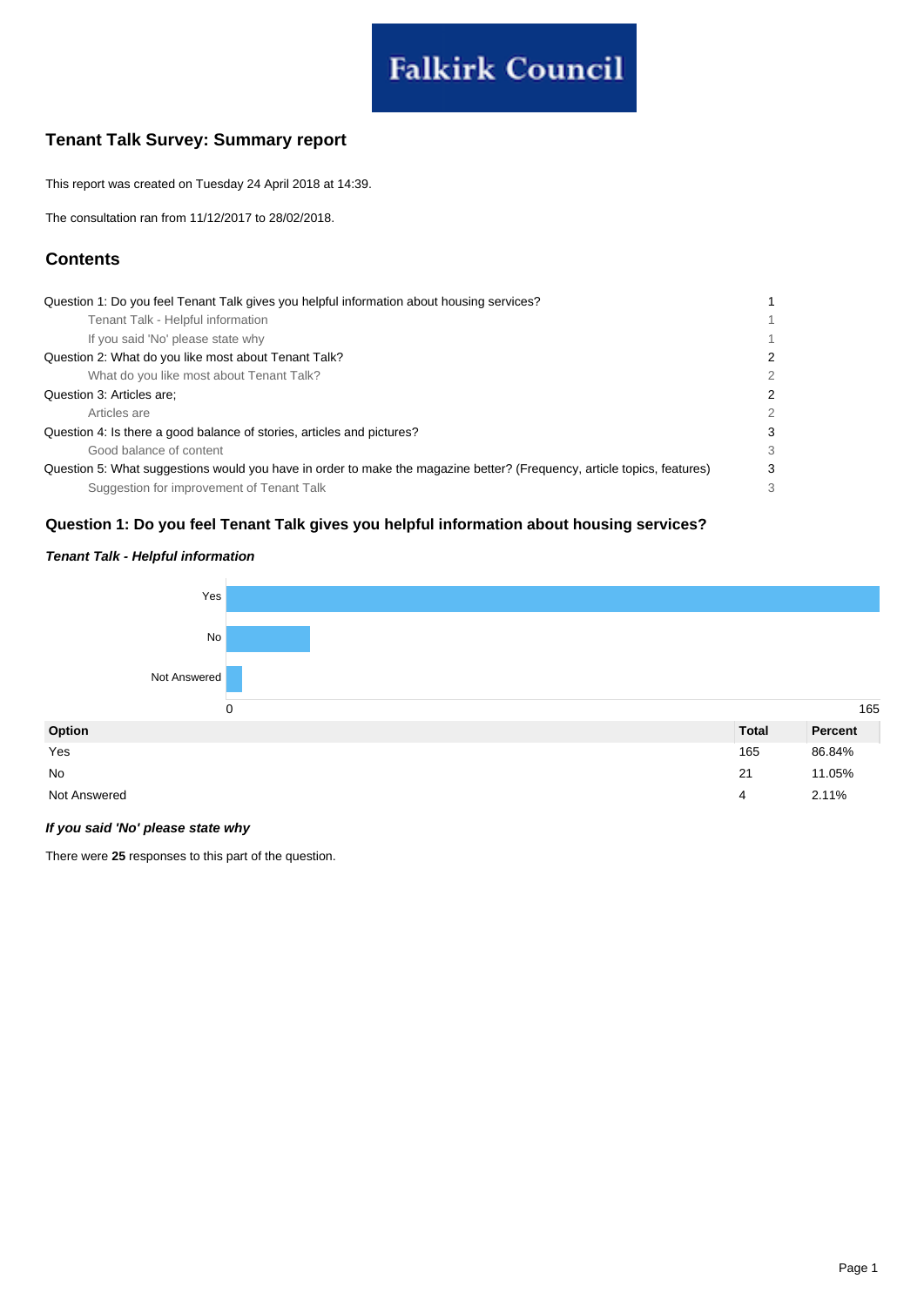# **Falkirk Council**

## **Tenant Talk Survey: Summary report**

This report was created on Tuesday 24 April 2018 at 14:39.

The consultation ran from 11/12/2017 to 28/02/2018.

## **Contents**

| Question 1: Do you feel Tenant Talk gives you helpful information about housing services?                               |              |
|-------------------------------------------------------------------------------------------------------------------------|--------------|
| Tenant Talk - Helpful information                                                                                       | $\mathbf{1}$ |
| If you said 'No' please state why                                                                                       | $\mathbf{1}$ |
| Question 2: What do you like most about Tenant Talk?                                                                    | 2            |
| What do you like most about Tenant Talk?                                                                                | 2            |
| Question 3: Articles are:                                                                                               | 2            |
| Articles are                                                                                                            | 2            |
| Question 4: Is there a good balance of stories, articles and pictures?                                                  | 3            |
| Good balance of content                                                                                                 | 3            |
| Question 5: What suggestions would you have in order to make the magazine better? (Frequency, article topics, features) | 3            |
| Suggestion for improvement of Tenant Talk                                                                               | 3            |

### **Question 1: Do you feel Tenant Talk gives you helpful information about housing services?**

## **Tenant Talk - Helpful information**



#### **If you said 'No' please state why**

There were **25** responses to this part of the question.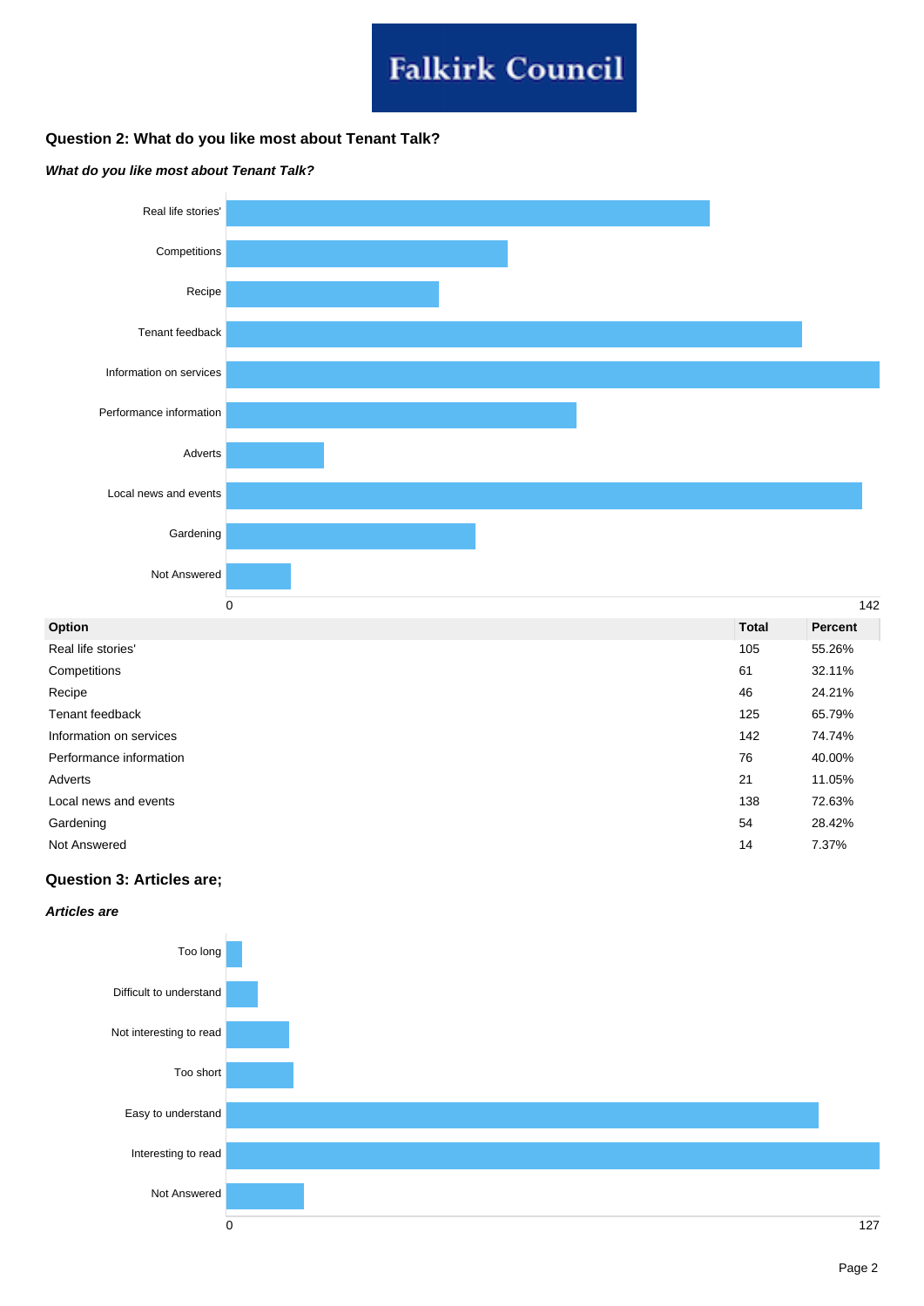# **Falkirk Council**

## **Question 2: What do you like most about Tenant Talk?**

#### **What do you like most about Tenant Talk?**



| Option                  | <b>Total</b> | Percent |
|-------------------------|--------------|---------|
| Real life stories'      | 105          | 55.26%  |
| Competitions            | 61           | 32.11%  |
| Recipe                  | 46           | 24.21%  |
| Tenant feedback         | 125          | 65.79%  |
| Information on services | 142          | 74.74%  |
| Performance information | 76           | 40.00%  |
| Adverts                 | 21           | 11.05%  |
| Local news and events   | 138          | 72.63%  |
| Gardening               | 54           | 28.42%  |
| Not Answered            | 14           | 7.37%   |

### **Question 3: Articles are;**

#### **Articles are**